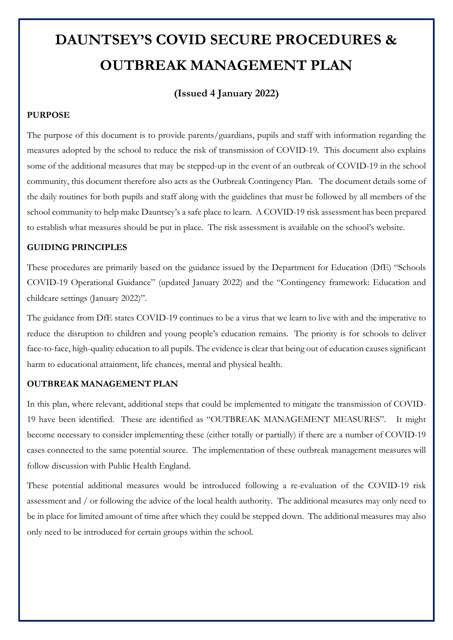# DAUNTSEY'S COVID SECURE PROCEDURES & OUTBREAK MANAGEMENT PLAN

## (Issued 4 January 2022)

## **PURPOSE**

The purpose of this document is to provide parents/guardians, pupils and staff with information regarding the measures adopted by the school to reduce the risk of transmission of COVID-19. This document also explains some of the additional measures that may be stepped-up in the event of an outbreak of COVID-19 in the school community, this document therefore also acts as the Outbreak Contingency Plan. The document details some of the daily routines for both pupils and staff along with the guidelines that must be followed by all members of the school community to help make Dauntsey's a safe place to learn. A COVID-19 risk assessment has been prepared to establish what measures should be put in place. The risk assessment is available on the school's website.

#### GUIDING PRINCIPLES

These procedures are primarily based on the guidance issued by the Department for Education (DfE) "Schools COVID-19 Operational Guidance" (updated January 2022) and the "Contingency framework: Education and childcare settings (January 2022)".

The guidance from DfE states COVID-19 continues to be a virus that we learn to live with and the imperative to reduce the disruption to children and young people's education remains. The priority is for schools to deliver face-to-face, high-quality education to all pupils. The evidence is clear that being out of education causes significant harm to educational attainment, life chances, mental and physical health.

#### OUTBREAK MANAGEMENT PLAN

In this plan, where relevant, additional steps that could be implemented to mitigate the transmission of COVID-19 have been identified. These are identified as "OUTBREAK MANAGEMENT MEASURES". It might become necessary to consider implementing these (either totally or partially) if there are a number of COVID-19 cases connected to the same potential source. The implementation of these outbreak management measures will follow discussion with Public Health England.

These potential additional measures would be introduced following a re-evaluation of the COVID-19 risk assessment and / or following the advice of the local health authority. The additional measures may only need to be in place for limited amount of time after which they could be stepped down. The additional measures may also only need to be introduced for certain groups within the school.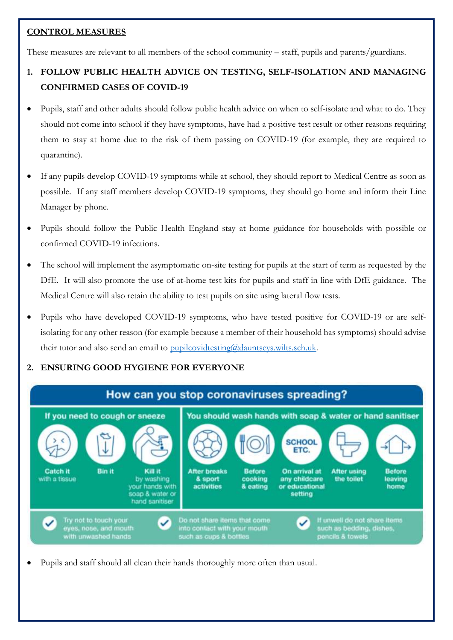### CONTROL MEASURES

These measures are relevant to all members of the school community – staff, pupils and parents/guardians.

## 1. FOLLOW PUBLIC HEALTH ADVICE ON TESTING, SELF-ISOLATION AND MANAGING CONFIRMED CASES OF COVID-19

- Pupils, staff and other adults should follow public health advice on when to self-isolate and what to do. They should not come into school if they have symptoms, have had a positive test result or other reasons requiring them to stay at home due to the risk of them passing on COVID-19 (for example, they are required to quarantine).
- If any pupils develop COVID-19 symptoms while at school, they should report to Medical Centre as soon as possible. If any staff members develop COVID-19 symptoms, they should go home and inform their Line Manager by phone.
- Pupils should follow the Public Health England stay at home guidance for households with possible or confirmed COVID-19 infections.
- The school will implement the asymptomatic on-site testing for pupils at the start of term as requested by the DfE. It will also promote the use of at-home test kits for pupils and staff in line with DfE guidance. The Medical Centre will also retain the ability to test pupils on site using lateral flow tests.
- Pupils who have developed COVID-19 symptoms, who have tested positive for COVID-19 or are selfisolating for any other reason (for example because a member of their household has symptoms) should advise their tutor and also send an email to pupilcovidtesting $@$ dauntseys.wilts.sch.uk.

## 2. ENSURING GOOD HYGIENE FOR EVERYONE



Pupils and staff should all clean their hands thoroughly more often than usual.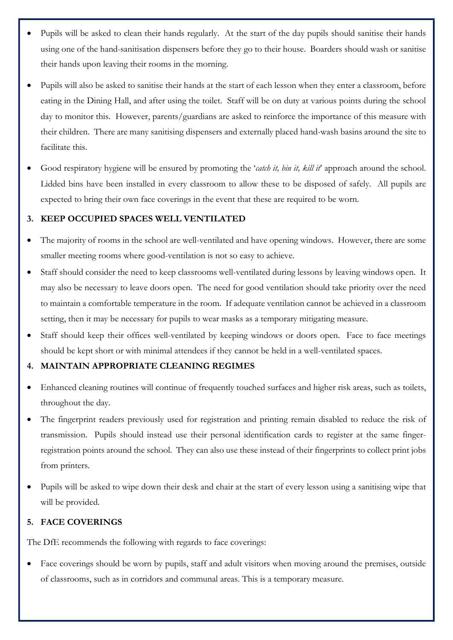- Pupils will be asked to clean their hands regularly. At the start of the day pupils should sanitise their hands using one of the hand-sanitisation dispensers before they go to their house. Boarders should wash or sanitise their hands upon leaving their rooms in the morning.
- Pupils will also be asked to sanitise their hands at the start of each lesson when they enter a classroom, before eating in the Dining Hall, and after using the toilet. Staff will be on duty at various points during the school day to monitor this. However, parents/guardians are asked to reinforce the importance of this measure with their children. There are many sanitising dispensers and externally placed hand-wash basins around the site to facilitate this.
- Good respiratory hygiene will be ensured by promoting the '*catch it, bin it, kill it*' approach around the school. Lidded bins have been installed in every classroom to allow these to be disposed of safely. All pupils are expected to bring their own face coverings in the event that these are required to be worn.

#### 3. KEEP OCCUPIED SPACES WELL VENTILATED

- The majority of rooms in the school are well-ventilated and have opening windows. However, there are some smaller meeting rooms where good-ventilation is not so easy to achieve.
- Staff should consider the need to keep classrooms well-ventilated during lessons by leaving windows open. It may also be necessary to leave doors open. The need for good ventilation should take priority over the need to maintain a comfortable temperature in the room. If adequate ventilation cannot be achieved in a classroom setting, then it may be necessary for pupils to wear masks as a temporary mitigating measure.
- Staff should keep their offices well-ventilated by keeping windows or doors open. Face to face meetings should be kept short or with minimal attendees if they cannot be held in a well-ventilated spaces.

#### 4. MAINTAIN APPROPRIATE CLEANING REGIMES

- Enhanced cleaning routines will continue of frequently touched surfaces and higher risk areas, such as toilets, throughout the day.
- The fingerprint readers previously used for registration and printing remain disabled to reduce the risk of transmission. Pupils should instead use their personal identification cards to register at the same fingerregistration points around the school. They can also use these instead of their fingerprints to collect print jobs from printers.
- Pupils will be asked to wipe down their desk and chair at the start of every lesson using a sanitising wipe that will be provided.

#### 5. FACE COVERINGS

The DfE recommends the following with regards to face coverings:

 Face coverings should be worn by pupils, staff and adult visitors when moving around the premises, outside of classrooms, such as in corridors and communal areas. This is a temporary measure.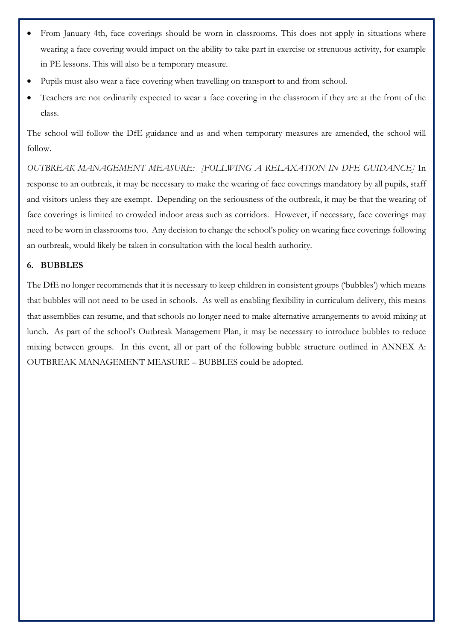- From January 4th, face coverings should be worn in classrooms. This does not apply in situations where wearing a face covering would impact on the ability to take part in exercise or strenuous activity, for example in PE lessons. This will also be a temporary measure.
- Pupils must also wear a face covering when travelling on transport to and from school.
- Teachers are not ordinarily expected to wear a face covering in the classroom if they are at the front of the class.

The school will follow the DfE guidance and as and when temporary measures are amended, the school will follow.

OUTBREAK MANAGEMENT MEASURE: [FOLLWING A RELAXATION IN DFE GUIDANCE] In response to an outbreak, it may be necessary to make the wearing of face coverings mandatory by all pupils, staff and visitors unless they are exempt. Depending on the seriousness of the outbreak, it may be that the wearing of face coverings is limited to crowded indoor areas such as corridors. However, if necessary, face coverings may need to be worn in classrooms too. Any decision to change the school's policy on wearing face coverings following an outbreak, would likely be taken in consultation with the local health authority.

#### 6. BUBBLES

The DfE no longer recommends that it is necessary to keep children in consistent groups ('bubbles') which means that bubbles will not need to be used in schools. As well as enabling flexibility in curriculum delivery, this means that assemblies can resume, and that schools no longer need to make alternative arrangements to avoid mixing at lunch. As part of the school's Outbreak Management Plan, it may be necessary to introduce bubbles to reduce mixing between groups. In this event, all or part of the following bubble structure outlined in ANNEX A: OUTBREAK MANAGEMENT MEASURE – BUBBLES could be adopted.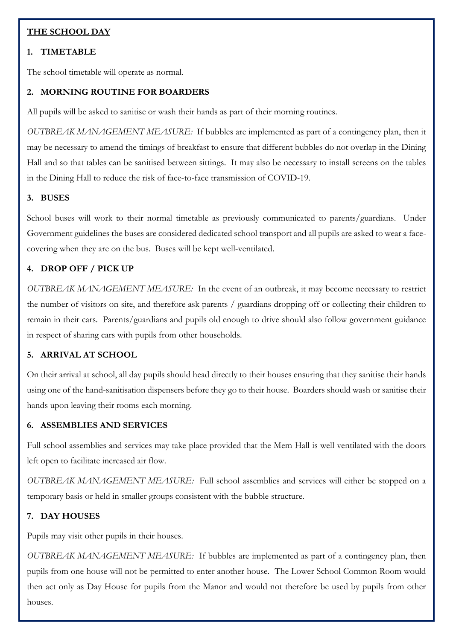## THE SCHOOL DAY

## 1. TIMETABLE

The school timetable will operate as normal.

## 2. MORNING ROUTINE FOR BOARDERS

All pupils will be asked to sanitise or wash their hands as part of their morning routines.

OUTBREAK MANAGEMENT MEASURE: If bubbles are implemented as part of a contingency plan, then it may be necessary to amend the timings of breakfast to ensure that different bubbles do not overlap in the Dining Hall and so that tables can be sanitised between sittings. It may also be necessary to install screens on the tables in the Dining Hall to reduce the risk of face-to-face transmission of COVID-19.

## 3. BUSES

School buses will work to their normal timetable as previously communicated to parents/guardians. Under Government guidelines the buses are considered dedicated school transport and all pupils are asked to wear a facecovering when they are on the bus. Buses will be kept well-ventilated.

## 4. DROP OFF / PICK UP

OUTBREAK MANAGEMENT MEASURE: In the event of an outbreak, it may become necessary to restrict the number of visitors on site, and therefore ask parents / guardians dropping off or collecting their children to remain in their cars. Parents/guardians and pupils old enough to drive should also follow government guidance in respect of sharing cars with pupils from other households.

#### 5. ARRIVAL AT SCHOOL

On their arrival at school, all day pupils should head directly to their houses ensuring that they sanitise their hands using one of the hand-sanitisation dispensers before they go to their house. Boarders should wash or sanitise their hands upon leaving their rooms each morning.

## 6. ASSEMBLIES AND SERVICES

Full school assemblies and services may take place provided that the Mem Hall is well ventilated with the doors left open to facilitate increased air flow.

OUTBREAK MANAGEMENT MEASURE: Full school assemblies and services will either be stopped on a temporary basis or held in smaller groups consistent with the bubble structure.

#### 7. DAY HOUSES

Pupils may visit other pupils in their houses.

OUTBREAK MANAGEMENT MEASURE: If bubbles are implemented as part of a contingency plan, then pupils from one house will not be permitted to enter another house. The Lower School Common Room would then act only as Day House for pupils from the Manor and would not therefore be used by pupils from other houses.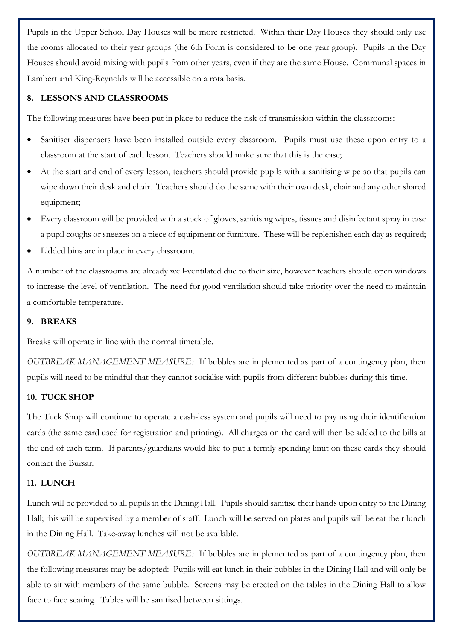Pupils in the Upper School Day Houses will be more restricted. Within their Day Houses they should only use the rooms allocated to their year groups (the 6th Form is considered to be one year group). Pupils in the Day Houses should avoid mixing with pupils from other years, even if they are the same House. Communal spaces in Lambert and King-Reynolds will be accessible on a rota basis.

#### 8. LESSONS AND CLASSROOMS

The following measures have been put in place to reduce the risk of transmission within the classrooms:

- Sanitiser dispensers have been installed outside every classroom. Pupils must use these upon entry to a classroom at the start of each lesson. Teachers should make sure that this is the case;
- At the start and end of every lesson, teachers should provide pupils with a sanitising wipe so that pupils can wipe down their desk and chair. Teachers should do the same with their own desk, chair and any other shared equipment;
- Every classroom will be provided with a stock of gloves, sanitising wipes, tissues and disinfectant spray in case a pupil coughs or sneezes on a piece of equipment or furniture. These will be replenished each day as required;
- Lidded bins are in place in every classroom.

A number of the classrooms are already well-ventilated due to their size, however teachers should open windows to increase the level of ventilation. The need for good ventilation should take priority over the need to maintain a comfortable temperature.

#### 9. BREAKS

Breaks will operate in line with the normal timetable.

OUTBREAK MANAGEMENT MEASURE: If bubbles are implemented as part of a contingency plan, then pupils will need to be mindful that they cannot socialise with pupils from different bubbles during this time.

#### 10. TUCK SHOP

The Tuck Shop will continue to operate a cash-less system and pupils will need to pay using their identification cards (the same card used for registration and printing). All charges on the card will then be added to the bills at the end of each term. If parents/guardians would like to put a termly spending limit on these cards they should contact the Bursar.

#### 11. LUNCH

Lunch will be provided to all pupils in the Dining Hall. Pupils should sanitise their hands upon entry to the Dining Hall; this will be supervised by a member of staff. Lunch will be served on plates and pupils will be eat their lunch in the Dining Hall. Take-away lunches will not be available.

OUTBREAK MANAGEMENT MEASURE: If bubbles are implemented as part of a contingency plan, then the following measures may be adopted: Pupils will eat lunch in their bubbles in the Dining Hall and will only be able to sit with members of the same bubble. Screens may be erected on the tables in the Dining Hall to allow face to face seating. Tables will be sanitised between sittings.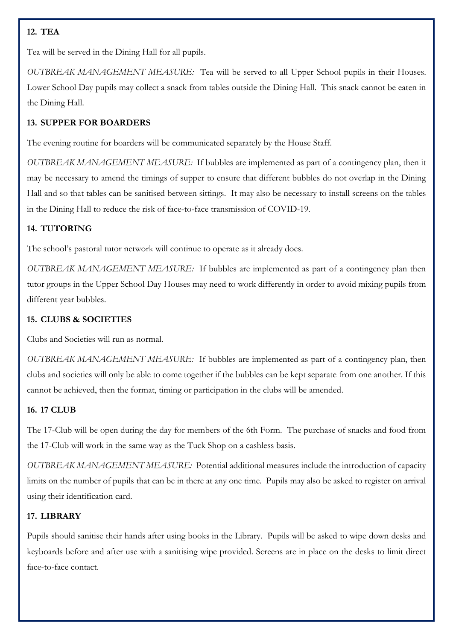## 12. TEA

Tea will be served in the Dining Hall for all pupils.

OUTBREAK MANAGEMENT MEASURE: Tea will be served to all Upper School pupils in their Houses. Lower School Day pupils may collect a snack from tables outside the Dining Hall. This snack cannot be eaten in the Dining Hall.

## 13. SUPPER FOR BOARDERS

The evening routine for boarders will be communicated separately by the House Staff.

OUTBREAK MANAGEMENT MEASURE: If bubbles are implemented as part of a contingency plan, then it may be necessary to amend the timings of supper to ensure that different bubbles do not overlap in the Dining Hall and so that tables can be sanitised between sittings. It may also be necessary to install screens on the tables in the Dining Hall to reduce the risk of face-to-face transmission of COVID-19.

## 14. TUTORING

The school's pastoral tutor network will continue to operate as it already does.

OUTBREAK MANAGEMENT MEASURE: If bubbles are implemented as part of a contingency plan then tutor groups in the Upper School Day Houses may need to work differently in order to avoid mixing pupils from different year bubbles.

## 15. CLUBS & SOCIETIES

Clubs and Societies will run as normal.

OUTBREAK MANAGEMENT MEASURE: If bubbles are implemented as part of a contingency plan, then clubs and societies will only be able to come together if the bubbles can be kept separate from one another. If this cannot be achieved, then the format, timing or participation in the clubs will be amended.

#### 16. 17 CLUB

The 17-Club will be open during the day for members of the 6th Form. The purchase of snacks and food from the 17-Club will work in the same way as the Tuck Shop on a cashless basis.

OUTBREAK MANAGEMENT MEASURE: Potential additional measures include the introduction of capacity limits on the number of pupils that can be in there at any one time. Pupils may also be asked to register on arrival using their identification card.

#### 17. LIBRARY

Pupils should sanitise their hands after using books in the Library. Pupils will be asked to wipe down desks and keyboards before and after use with a sanitising wipe provided. Screens are in place on the desks to limit direct face-to-face contact.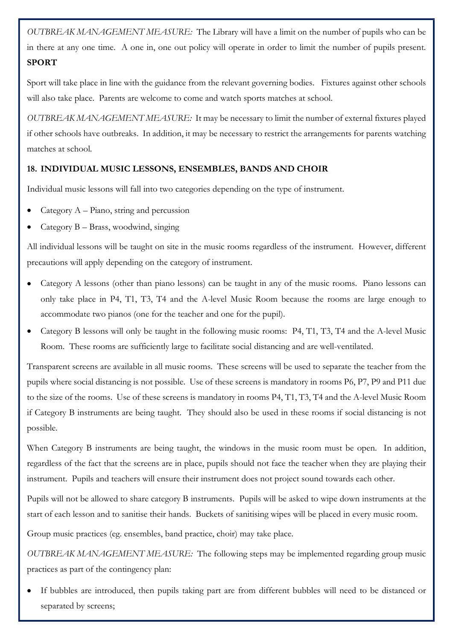OUTBREAK MANAGEMENT MEASURE: The Library will have a limit on the number of pupils who can be in there at any one time. A one in, one out policy will operate in order to limit the number of pupils present. SPORT

Sport will take place in line with the guidance from the relevant governing bodies. Fixtures against other schools will also take place. Parents are welcome to come and watch sports matches at school.

OUTBREAK MANAGEMENT MEASURE: It may be necessary to limit the number of external fixtures played if other schools have outbreaks. In addition, it may be necessary to restrict the arrangements for parents watching matches at school.

## 18. INDIVIDUAL MUSIC LESSONS, ENSEMBLES, BANDS AND CHOIR

Individual music lessons will fall into two categories depending on the type of instrument.

- Category A Piano, string and percussion
- Category B Brass, woodwind, singing

All individual lessons will be taught on site in the music rooms regardless of the instrument. However, different precautions will apply depending on the category of instrument.

- Category A lessons (other than piano lessons) can be taught in any of the music rooms. Piano lessons can only take place in P4, T1, T3, T4 and the A-level Music Room because the rooms are large enough to accommodate two pianos (one for the teacher and one for the pupil).
- Category B lessons will only be taught in the following music rooms: P4, T1, T3, T4 and the A-level Music Room. These rooms are sufficiently large to facilitate social distancing and are well-ventilated.

Transparent screens are available in all music rooms. These screens will be used to separate the teacher from the pupils where social distancing is not possible. Use of these screens is mandatory in rooms P6, P7, P9 and P11 due to the size of the rooms. Use of these screens is mandatory in rooms P4, T1, T3, T4 and the A-level Music Room if Category B instruments are being taught. They should also be used in these rooms if social distancing is not possible.

When Category B instruments are being taught, the windows in the music room must be open. In addition, regardless of the fact that the screens are in place, pupils should not face the teacher when they are playing their instrument. Pupils and teachers will ensure their instrument does not project sound towards each other.

Pupils will not be allowed to share category B instruments. Pupils will be asked to wipe down instruments at the start of each lesson and to sanitise their hands. Buckets of sanitising wipes will be placed in every music room.

Group music practices (eg. ensembles, band practice, choir) may take place.

OUTBREAK MANAGEMENT MEASURE: The following steps may be implemented regarding group music practices as part of the contingency plan:

 If bubbles are introduced, then pupils taking part are from different bubbles will need to be distanced or separated by screens;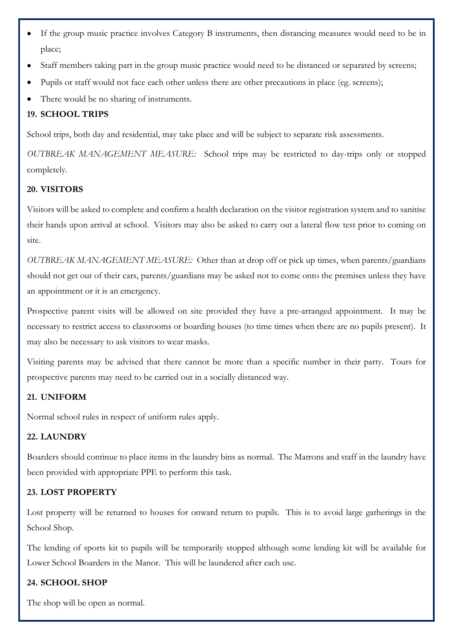- If the group music practice involves Category B instruments, then distancing measures would need to be in place;
- Staff members taking part in the group music practice would need to be distanced or separated by screens;
- Pupils or staff would not face each other unless there are other precautions in place (eg. screens);
- There would be no sharing of instruments.

## 19. SCHOOL TRIPS

School trips, both day and residential, may take place and will be subject to separate risk assessments.

OUTBREAK MANAGEMENT MEASURE: School trips may be restricted to day-trips only or stopped completely.

## 20. VISITORS

Visitors will be asked to complete and confirm a health declaration on the visitor registration system and to sanitise their hands upon arrival at school. Visitors may also be asked to carry out a lateral flow test prior to coming on site.

OUTBREAK MANAGEMENT MEASURE: Other than at drop off or pick up times, when parents/guardians should not get out of their cars, parents/guardians may be asked not to come onto the premises unless they have an appointment or it is an emergency.

Prospective parent visits will be allowed on site provided they have a pre-arranged appointment. It may be necessary to restrict access to classrooms or boarding houses (to time times when there are no pupils present). It may also be necessary to ask visitors to wear masks.

Visiting parents may be advised that there cannot be more than a specific number in their party. Tours for prospective parents may need to be carried out in a socially distanced way.

## 21. UNIFORM

Normal school rules in respect of uniform rules apply.

## 22. LAUNDRY

Boarders should continue to place items in the laundry bins as normal. The Matrons and staff in the laundry have been provided with appropriate PPE to perform this task.

## 23. LOST PROPERTY

Lost property will be returned to houses for onward return to pupils. This is to avoid large gatherings in the School Shop.

The lending of sports kit to pupils will be temporarily stopped although some lending kit will be available for Lower School Boarders in the Manor. This will be laundered after each use.

## 24. SCHOOL SHOP

The shop will be open as normal.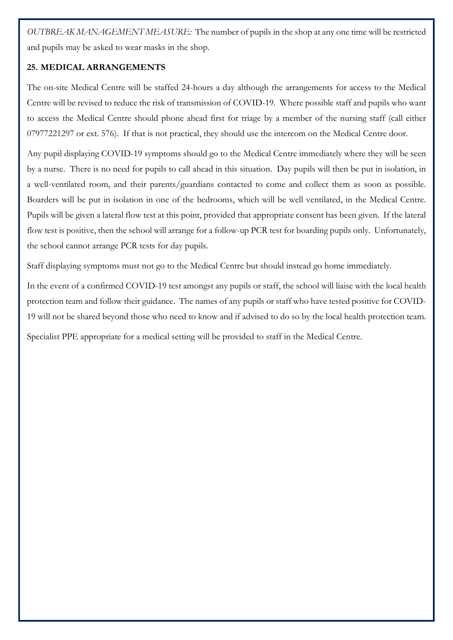OUTBREAK MANAGEMENT MEASURE: The number of pupils in the shop at any one time will be restricted and pupils may be asked to wear masks in the shop.

#### 25. MEDICAL ARRANGEMENTS

The on-site Medical Centre will be staffed 24-hours a day although the arrangements for access to the Medical Centre will be revised to reduce the risk of transmission of COVID-19. Where possible staff and pupils who want to access the Medical Centre should phone ahead first for triage by a member of the nursing staff (call either 07977221297 or ext. 576). If that is not practical, they should use the intercom on the Medical Centre door.

Any pupil displaying COVID-19 symptoms should go to the Medical Centre immediately where they will be seen by a nurse. There is no need for pupils to call ahead in this situation. Day pupils will then be put in isolation, in a well-ventilated room, and their parents/guardians contacted to come and collect them as soon as possible. Boarders will be put in isolation in one of the bedrooms, which will be well ventilated, in the Medical Centre. Pupils will be given a lateral flow test at this point, provided that appropriate consent has been given. If the lateral flow test is positive, then the school will arrange for a follow-up PCR test for boarding pupils only. Unfortunately, the school cannot arrange PCR tests for day pupils.

Staff displaying symptoms must not go to the Medical Centre but should instead go home immediately.

In the event of a confirmed COVID-19 test amongst any pupils or staff, the school will liaise with the local health protection team and follow their guidance. The names of any pupils or staff who have tested positive for COVID-19 will not be shared beyond those who need to know and if advised to do so by the local health protection team. Specialist PPE appropriate for a medical setting will be provided to staff in the Medical Centre.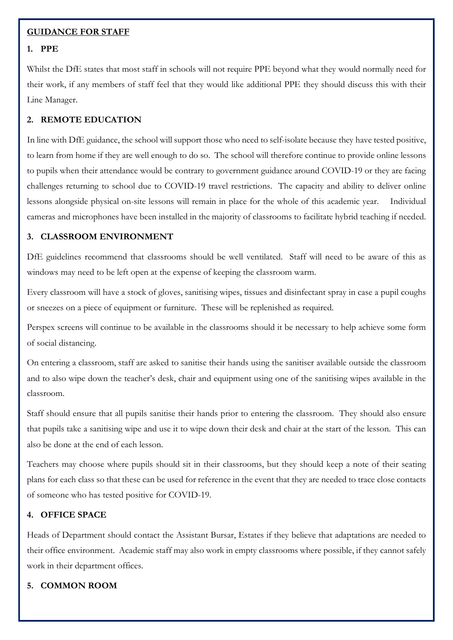#### GUIDANCE FOR STAFF

#### 1. PPE

Whilst the DfE states that most staff in schools will not require PPE beyond what they would normally need for their work, if any members of staff feel that they would like additional PPE they should discuss this with their Line Manager.

## 2. REMOTE EDUCATION

In line with DfE guidance, the school will support those who need to self-isolate because they have tested positive, to learn from home if they are well enough to do so. The school will therefore continue to provide online lessons to pupils when their attendance would be contrary to government guidance around COVID-19 or they are facing challenges returning to school due to COVID-19 travel restrictions. The capacity and ability to deliver online lessons alongside physical on-site lessons will remain in place for the whole of this academic year. Individual cameras and microphones have been installed in the majority of classrooms to facilitate hybrid teaching if needed.

#### 3. CLASSROOM ENVIRONMENT

DfE guidelines recommend that classrooms should be well ventilated. Staff will need to be aware of this as windows may need to be left open at the expense of keeping the classroom warm.

Every classroom will have a stock of gloves, sanitising wipes, tissues and disinfectant spray in case a pupil coughs or sneezes on a piece of equipment or furniture. These will be replenished as required.

Perspex screens will continue to be available in the classrooms should it be necessary to help achieve some form of social distancing.

On entering a classroom, staff are asked to sanitise their hands using the sanitiser available outside the classroom and to also wipe down the teacher's desk, chair and equipment using one of the sanitising wipes available in the classroom.

Staff should ensure that all pupils sanitise their hands prior to entering the classroom. They should also ensure that pupils take a sanitising wipe and use it to wipe down their desk and chair at the start of the lesson. This can also be done at the end of each lesson.

Teachers may choose where pupils should sit in their classrooms, but they should keep a note of their seating plans for each class so that these can be used for reference in the event that they are needed to trace close contacts of someone who has tested positive for COVID-19.

## 4. OFFICE SPACE

Heads of Department should contact the Assistant Bursar, Estates if they believe that adaptations are needed to their office environment. Academic staff may also work in empty classrooms where possible, if they cannot safely work in their department offices.

## 5. COMMON ROOM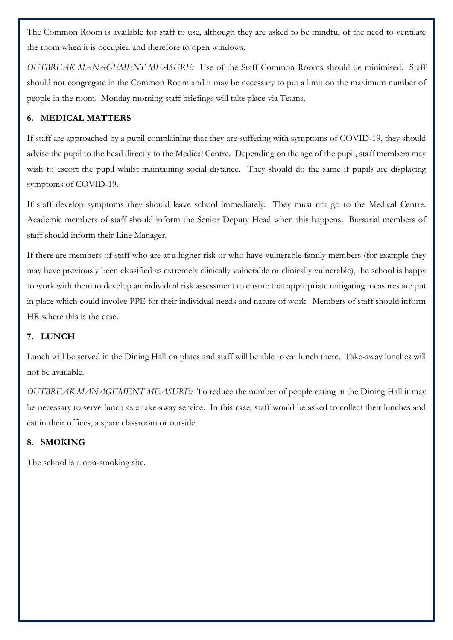The Common Room is available for staff to use, although they are asked to be mindful of the need to ventilate the room when it is occupied and therefore to open windows.

OUTBREAK MANAGEMENT MEASURE: Use of the Staff Common Rooms should be minimised. Staff should not congregate in the Common Room and it may be necessary to put a limit on the maximum number of people in the room. Monday morning staff briefings will take place via Teams.

## 6. MEDICAL MATTERS

If staff are approached by a pupil complaining that they are suffering with symptoms of COVID-19, they should advise the pupil to the head directly to the Medical Centre. Depending on the age of the pupil, staff members may wish to escort the pupil whilst maintaining social distance. They should do the same if pupils are displaying symptoms of COVID-19.

If staff develop symptoms they should leave school immediately. They must not go to the Medical Centre. Academic members of staff should inform the Senior Deputy Head when this happens. Bursarial members of staff should inform their Line Manager.

If there are members of staff who are at a higher risk or who have vulnerable family members (for example they may have previously been classified as extremely clinically vulnerable or clinically vulnerable), the school is happy to work with them to develop an individual risk assessment to ensure that appropriate mitigating measures are put in place which could involve PPE for their individual needs and nature of work. Members of staff should inform HR where this is the case.

#### 7. LUNCH

Lunch will be served in the Dining Hall on plates and staff will be able to eat lunch there. Take-away lunches will not be available.

OUTBREAK MANAGEMENT MEASURE: To reduce the number of people eating in the Dining Hall it may be necessary to serve lunch as a take-away service. In this case, staff would be asked to collect their lunches and eat in their offices, a spare classroom or outside.

#### 8. SMOKING

The school is a non-smoking site.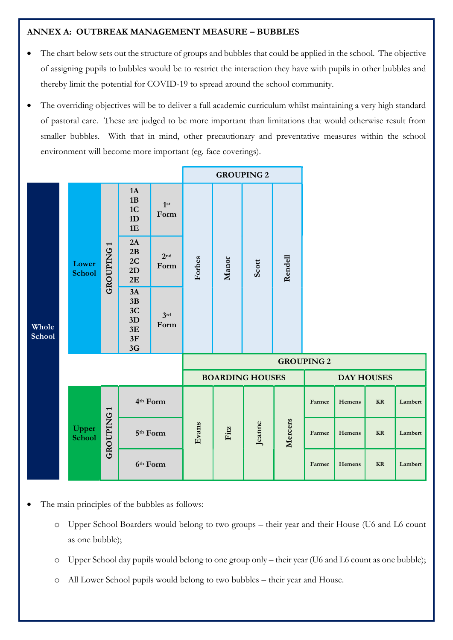## ANNEX A: OUTBREAK MANAGEMENT MEASURE – BUBBLES

- The chart below sets out the structure of groups and bubbles that could be applied in the school. The objective of assigning pupils to bubbles would be to restrict the interaction they have with pupils in other bubbles and thereby limit the potential for COVID-19 to spread around the school community.
- The overriding objectives will be to deliver a full academic curriculum whilst maintaining a very high standard of pastoral care. These are judged to be more important than limitations that would otherwise result from smaller bubbles. With that in mind, other precautionary and preventative measures within the school environment will become more important (eg. face coverings).



The main principles of the bubbles as follows:

- o Upper School Boarders would belong to two groups their year and their House (U6 and L6 count as one bubble);
- o Upper School day pupils would belong to one group only their year (U6 and L6 count as one bubble);
- o All Lower School pupils would belong to two bubbles their year and House.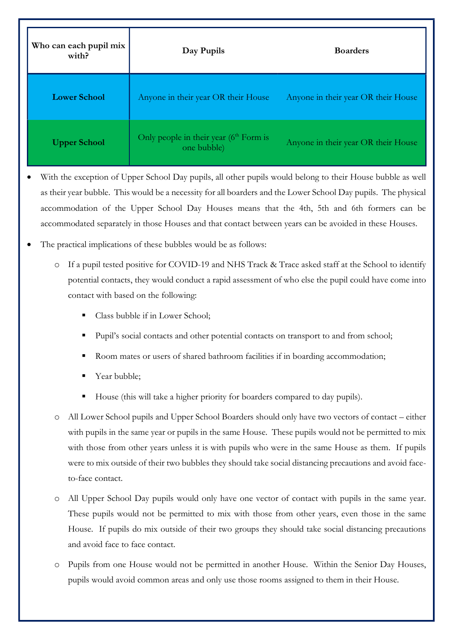| Who can each pupil mix<br>with? | Day Pupils                                              | <b>Boarders</b>                     |
|---------------------------------|---------------------------------------------------------|-------------------------------------|
| <b>Lower School</b>             | Anyone in their year OR their House                     | Anyone in their year OR their House |
| <b>Upper School</b>             | Only people in their year $(6th$ Form is<br>one bubble) | Anyone in their year OR their House |

- With the exception of Upper School Day pupils, all other pupils would belong to their House bubble as well as their year bubble. This would be a necessity for all boarders and the Lower School Day pupils. The physical accommodation of the Upper School Day Houses means that the 4th, 5th and 6th formers can be accommodated separately in those Houses and that contact between years can be avoided in these Houses.
- The practical implications of these bubbles would be as follows:
	- o If a pupil tested positive for COVID-19 and NHS Track & Trace asked staff at the School to identify potential contacts, they would conduct a rapid assessment of who else the pupil could have come into contact with based on the following:
		- Class bubble if in Lower School;
		- Pupil's social contacts and other potential contacts on transport to and from school;
		- Room mates or users of shared bathroom facilities if in boarding accommodation;
		- Year bubble;
		- House (this will take a higher priority for boarders compared to day pupils).
	- o All Lower School pupils and Upper School Boarders should only have two vectors of contact either with pupils in the same year or pupils in the same House. These pupils would not be permitted to mix with those from other years unless it is with pupils who were in the same House as them. If pupils were to mix outside of their two bubbles they should take social distancing precautions and avoid faceto-face contact.
	- o All Upper School Day pupils would only have one vector of contact with pupils in the same year. These pupils would not be permitted to mix with those from other years, even those in the same House. If pupils do mix outside of their two groups they should take social distancing precautions and avoid face to face contact.
	- o Pupils from one House would not be permitted in another House. Within the Senior Day Houses, pupils would avoid common areas and only use those rooms assigned to them in their House.